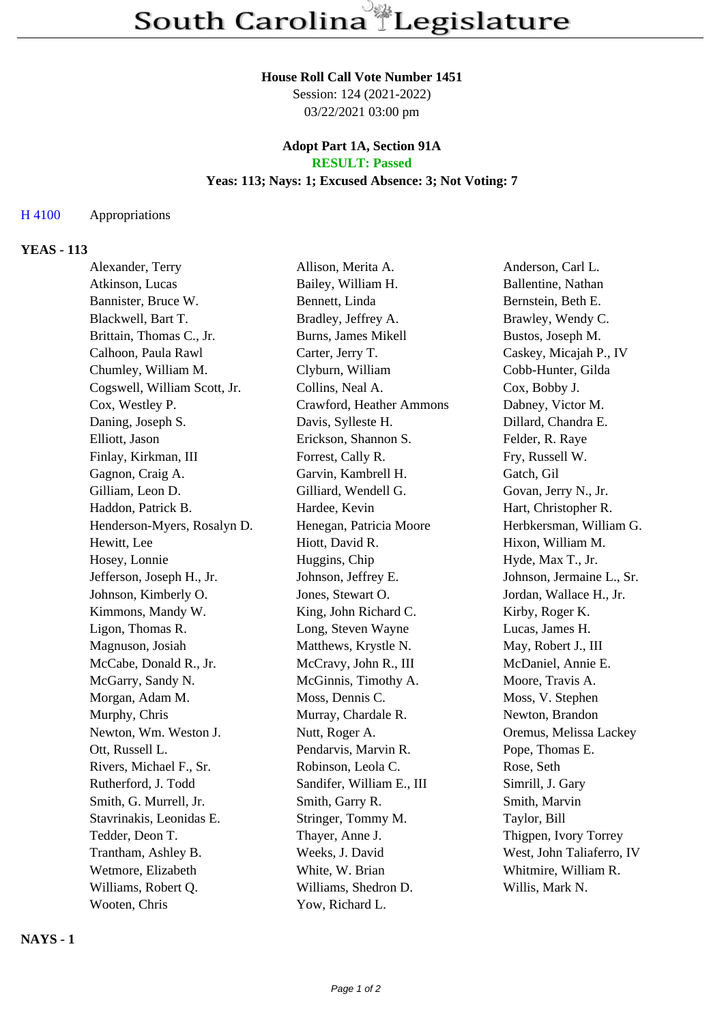## **House Roll Call Vote Number 1451**

Session: 124 (2021-2022) 03/22/2021 03:00 pm

#### **Adopt Part 1A, Section 91A RESULT: Passed**

# **Yeas: 113; Nays: 1; Excused Absence: 3; Not Voting: 7**

#### H 4100 Appropriations

#### **YEAS - 113**

| Alexander, Terry             | Allison, Merita A.         | Anderson, Carl L.         |
|------------------------------|----------------------------|---------------------------|
| Atkinson, Lucas              | Bailey, William H.         | Ballentine, Nathan        |
| Bannister, Bruce W.          | Bennett, Linda             | Bernstein, Beth E.        |
| Blackwell, Bart T.           | Bradley, Jeffrey A.        | Brawley, Wendy C.         |
| Brittain, Thomas C., Jr.     | <b>Burns, James Mikell</b> | Bustos, Joseph M.         |
| Calhoon, Paula Rawl          | Carter, Jerry T.           | Caskey, Micajah P., IV    |
| Chumley, William M.          | Clyburn, William           | Cobb-Hunter, Gilda        |
| Cogswell, William Scott, Jr. | Collins, Neal A.           | Cox, Bobby J.             |
| Cox, Westley P.              | Crawford, Heather Ammons   | Dabney, Victor M.         |
| Daning, Joseph S.            | Davis, Sylleste H.         | Dillard, Chandra E.       |
| Elliott, Jason               | Erickson, Shannon S.       | Felder, R. Raye           |
| Finlay, Kirkman, III         | Forrest, Cally R.          | Fry, Russell W.           |
| Gagnon, Craig A.             | Garvin, Kambrell H.        | Gatch, Gil                |
| Gilliam, Leon D.             | Gilliard, Wendell G.       | Govan, Jerry N., Jr.      |
| Haddon, Patrick B.           | Hardee, Kevin              | Hart, Christopher R.      |
| Henderson-Myers, Rosalyn D.  | Henegan, Patricia Moore    | Herbkersman, William G.   |
| Hewitt, Lee                  | Hiott, David R.            | Hixon, William M.         |
| Hosey, Lonnie                | Huggins, Chip              | Hyde, Max T., Jr.         |
| Jefferson, Joseph H., Jr.    | Johnson, Jeffrey E.        | Johnson, Jermaine L., Sr. |
| Johnson, Kimberly O.         | Jones, Stewart O.          | Jordan, Wallace H., Jr.   |
| Kimmons, Mandy W.            | King, John Richard C.      | Kirby, Roger K.           |
| Ligon, Thomas R.             | Long, Steven Wayne         | Lucas, James H.           |
| Magnuson, Josiah             | Matthews, Krystle N.       | May, Robert J., III       |
| McCabe, Donald R., Jr.       | McCravy, John R., III      | McDaniel, Annie E.        |
| McGarry, Sandy N.            | McGinnis, Timothy A.       | Moore, Travis A.          |
| Morgan, Adam M.              | Moss, Dennis C.            | Moss, V. Stephen          |
| Murphy, Chris                | Murray, Chardale R.        | Newton, Brandon           |
| Newton, Wm. Weston J.        | Nutt, Roger A.             | Oremus, Melissa Lackey    |
| Ott, Russell L.              | Pendarvis, Marvin R.       | Pope, Thomas E.           |
| Rivers, Michael F., Sr.      | Robinson, Leola C.         | Rose, Seth                |
| Rutherford, J. Todd          | Sandifer, William E., III  | Simrill, J. Gary          |
| Smith, G. Murrell, Jr.       | Smith, Garry R.            | Smith, Marvin             |
| Stavrinakis, Leonidas E.     | Stringer, Tommy M.         | Taylor, Bill              |
| Tedder, Deon T.              | Thayer, Anne J.            | Thigpen, Ivory Torrey     |
| Trantham, Ashley B.          | Weeks, J. David            | West, John Taliaferro, IV |
| Wetmore, Elizabeth           | White, W. Brian            | Whitmire, William R.      |
| Williams, Robert Q.          | Williams, Shedron D.       | Willis, Mark N.           |
| Wooten, Chris                | Yow, Richard L.            |                           |